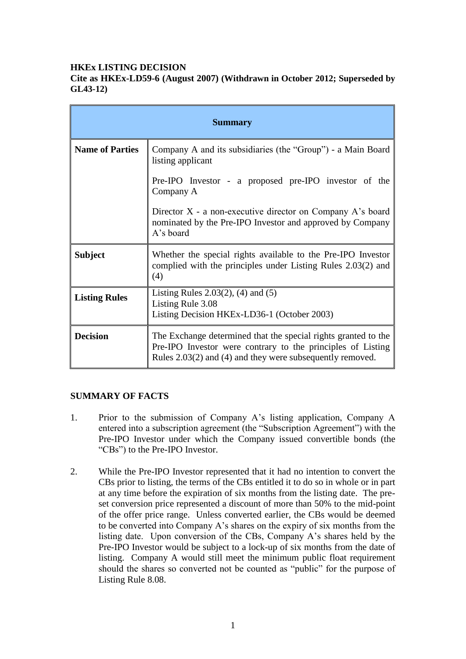### **HKEx LISTING DECISION**

**Cite as HKEx-LD59-6 (August 2007) (Withdrawn in October 2012; Superseded by GL43-12)**

| <b>Summary</b>         |                                                                                                                                                                                              |
|------------------------|----------------------------------------------------------------------------------------------------------------------------------------------------------------------------------------------|
| <b>Name of Parties</b> | Company A and its subsidiaries (the "Group") - a Main Board<br>listing applicant                                                                                                             |
|                        | Pre-IPO Investor - a proposed pre-IPO investor of the<br>Company A                                                                                                                           |
|                        | Director X - a non-executive director on Company A's board<br>nominated by the Pre-IPO Investor and approved by Company<br>A's board                                                         |
| <b>Subject</b>         | Whether the special rights available to the Pre-IPO Investor<br>complied with the principles under Listing Rules 2.03(2) and<br>(4)                                                          |
| <b>Listing Rules</b>   | Listing Rules $2.03(2)$ , $(4)$ and $(5)$<br>Listing Rule 3.08<br>Listing Decision HKEx-LD36-1 (October 2003)                                                                                |
| <b>Decision</b>        | The Exchange determined that the special rights granted to the<br>Pre-IPO Investor were contrary to the principles of Listing<br>Rules $2.03(2)$ and (4) and they were subsequently removed. |

#### **SUMMARY OF FACTS**

- 1. Prior to the submission of Company A's listing application, Company A entered into a subscription agreement (the "Subscription Agreement") with the Pre-IPO Investor under which the Company issued convertible bonds (the "CBs") to the Pre-IPO Investor.
- 2. While the Pre-IPO Investor represented that it had no intention to convert the CBs prior to listing, the terms of the CBs entitled it to do so in whole or in part at any time before the expiration of six months from the listing date. The preset conversion price represented a discount of more than 50% to the mid-point of the offer price range. Unless converted earlier, the CBs would be deemed to be converted into Company A's shares on the expiry of six months from the listing date. Upon conversion of the CBs, Company A's shares held by the Pre-IPO Investor would be subject to a lock-up of six months from the date of listing. Company A would still meet the minimum public float requirement should the shares so converted not be counted as "public" for the purpose of Listing Rule 8.08.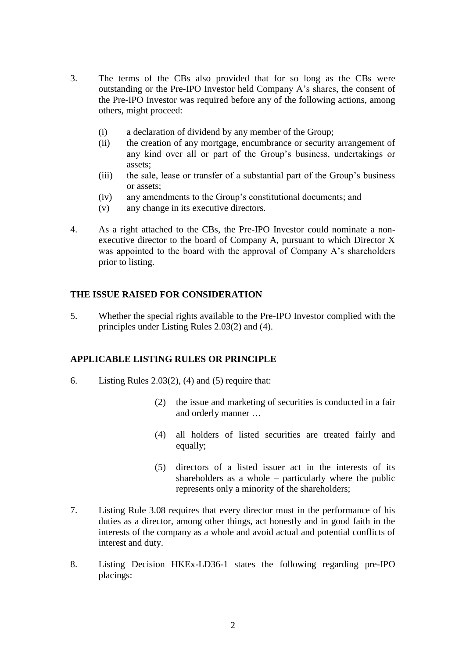- 3. The terms of the CBs also provided that for so long as the CBs were outstanding or the Pre-IPO Investor held Company A's shares, the consent of the Pre-IPO Investor was required before any of the following actions, among others, might proceed:
	- (i) a declaration of dividend by any member of the Group;
	- (ii) the creation of any mortgage, encumbrance or security arrangement of any kind over all or part of the Group's business, undertakings or assets;
	- (iii) the sale, lease or transfer of a substantial part of the Group's business or assets;
	- (iv) any amendments to the Group's constitutional documents; and
	- (v) any change in its executive directors.
- 4. As a right attached to the CBs, the Pre-IPO Investor could nominate a nonexecutive director to the board of Company A, pursuant to which Director X was appointed to the board with the approval of Company A's shareholders prior to listing.

# **THE ISSUE RAISED FOR CONSIDERATION**

5. Whether the special rights available to the Pre-IPO Investor complied with the principles under Listing Rules 2.03(2) and (4).

# **APPLICABLE LISTING RULES OR PRINCIPLE**

- 6. Listing Rules  $2.03(2)$ , (4) and (5) require that:
	- (2) the issue and marketing of securities is conducted in a fair and orderly manner …
	- (4) all holders of listed securities are treated fairly and equally;
	- (5) directors of a listed issuer act in the interests of its shareholders as a whole – particularly where the public represents only a minority of the shareholders;
- 7. Listing Rule 3.08 requires that every director must in the performance of his duties as a director, among other things, act honestly and in good faith in the interests of the company as a whole and avoid actual and potential conflicts of interest and duty.
- 8. Listing Decision HKEx-LD36-1 states the following regarding pre-IPO placings: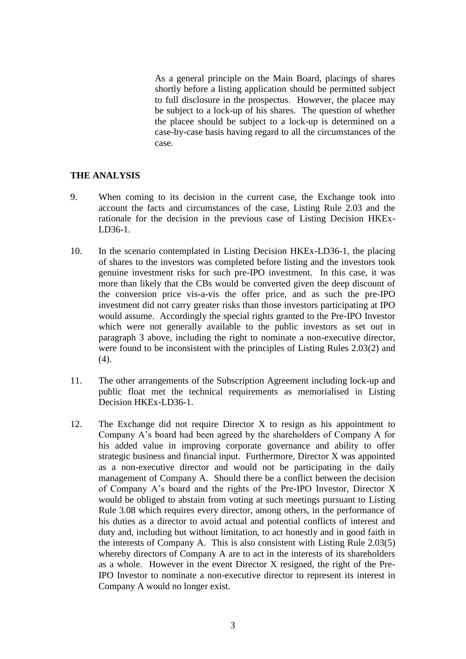As a general principle on the Main Board, placings of shares shortly before a listing application should be permitted subject to full disclosure in the prospectus. However, the placee may be subject to a lock-up of his shares. The question of whether the placee should be subject to a lock-up is determined on a case-by-case basis having regard to all the circumstances of the case.

#### **THE ANALYSIS**

- 9. When coming to its decision in the current case, the Exchange took into account the facts and circumstances of the case, Listing Rule 2.03 and the rationale for the decision in the previous case of Listing Decision HKEx-LD36-1.
- 10. In the scenario contemplated in Listing Decision HKEx-LD36-1, the placing of shares to the investors was completed before listing and the investors took genuine investment risks for such pre-IPO investment. In this case, it was more than likely that the CBs would be converted given the deep discount of the conversion price vis-a-vis the offer price, and as such the pre-IPO investment did not carry greater risks than those investors participating at IPO would assume. Accordingly the special rights granted to the Pre-IPO Investor which were not generally available to the public investors as set out in paragraph 3 above, including the right to nominate a non-executive director, were found to be inconsistent with the principles of Listing Rules 2.03(2) and  $(4).$
- 11. The other arrangements of the Subscription Agreement including lock-up and public float met the technical requirements as memorialised in Listing Decision HKEx-LD36-1.
- 12. The Exchange did not require Director X to resign as his appointment to Company A's board had been agreed by the shareholders of Company A for his added value in improving corporate governance and ability to offer strategic business and financial input. Furthermore, Director X was appointed as a non-executive director and would not be participating in the daily management of Company A. Should there be a conflict between the decision of Company A's board and the rights of the Pre-IPO Investor, Director X would be obliged to abstain from voting at such meetings pursuant to Listing Rule 3.08 which requires every director, among others, in the performance of his duties as a director to avoid actual and potential conflicts of interest and duty and, including but without limitation, to act honestly and in good faith in the interests of Company A. This is also consistent with Listing Rule 2.03(5) whereby directors of Company A are to act in the interests of its shareholders as a whole. However in the event Director X resigned, the right of the Pre-IPO Investor to nominate a non-executive director to represent its interest in Company A would no longer exist.